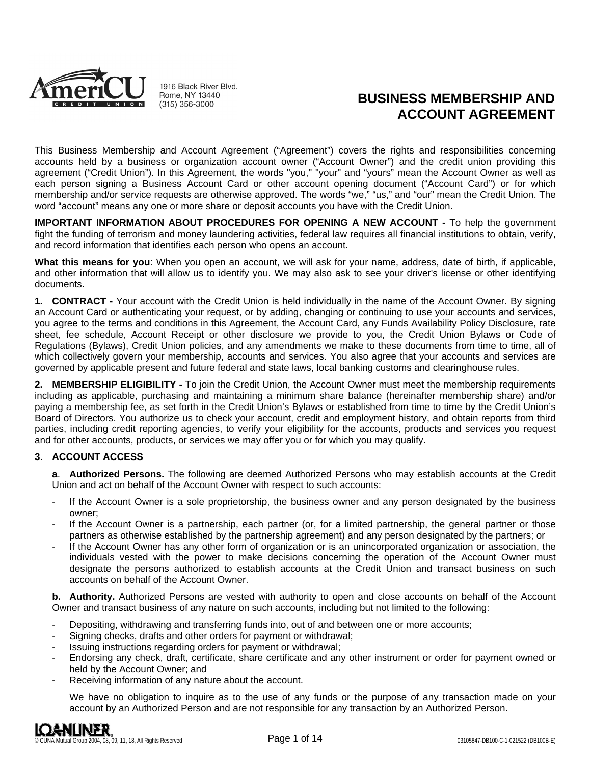

1916 Black River Blvd. Rome, NY 13440  $(315)$  356-3000

# **BUSINESS MEMBERSHIP AND ACCOUNT AGREEMENT**

This Business Membership and Account Agreement ("Agreement") covers the rights and responsibilities concerning accounts held by a business or organization account owner ("Account Owner") and the credit union providing this agreement ("Credit Union"). In this Agreement, the words "you," "your" and "yours" mean the Account Owner as well as each person signing a Business Account Card or other account opening document ("Account Card") or for which membership and/or service requests are otherwise approved. The words "we," "us," and "our" mean the Credit Union. The word "account" means any one or more share or deposit accounts you have with the Credit Union.

**IMPORTANT INFORMATION ABOUT PROCEDURES FOR OPENING A NEW ACCOUNT -** To help the government fight the funding of terrorism and money laundering activities, federal law requires all financial institutions to obtain, verify, and record information that identifies each person who opens an account.

**What this means for you**: When you open an account, we will ask for your name, address, date of birth, if applicable, and other information that will allow us to identify you. We may also ask to see your driver's license or other identifying documents.

**1. CONTRACT -** Your account with the Credit Union is held individually in the name of the Account Owner. By signing an Account Card or authenticating your request, or by adding, changing or continuing to use your accounts and services, you agree to the terms and conditions in this Agreement, the Account Card, any Funds Availability Policy Disclosure, rate sheet, fee schedule, Account Receipt or other disclosure we provide to you, the Credit Union Bylaws or Code of Regulations (Bylaws), Credit Union policies, and any amendments we make to these documents from time to time, all of which collectively govern your membership, accounts and services. You also agree that your accounts and services are governed by applicable present and future federal and state laws, local banking customs and clearinghouse rules.

**2. MEMBERSHIP ELIGIBILITY -** To join the Credit Union, the Account Owner must meet the membership requirements including as applicable, purchasing and maintaining a minimum share balance (hereinafter membership share) and/or paying a membership fee, as set forth in the Credit Union's Bylaws or established from time to time by the Credit Union's Board of Directors. You authorize us to check your account, credit and employment history, and obtain reports from third parties, including credit reporting agencies, to verify your eligibility for the accounts, products and services you request and for other accounts, products, or services we may offer you or for which you may qualify.

# **3**. **ACCOUNT ACCESS**

**a**. **Authorized Persons.** The following are deemed Authorized Persons who may establish accounts at the Credit Union and act on behalf of the Account Owner with respect to such accounts:

- If the Account Owner is a sole proprietorship, the business owner and any person designated by the business owner;
- If the Account Owner is a partnership, each partner (or, for a limited partnership, the general partner or those partners as otherwise established by the partnership agreement) and any person designated by the partners; or
- If the Account Owner has any other form of organization or is an unincorporated organization or association, the individuals vested with the power to make decisions concerning the operation of the Account Owner must designate the persons authorized to establish accounts at the Credit Union and transact business on such accounts on behalf of the Account Owner.

**b. Authority.** Authorized Persons are vested with authority to open and close accounts on behalf of the Account Owner and transact business of any nature on such accounts, including but not limited to the following:

- Depositing, withdrawing and transferring funds into, out of and between one or more accounts;
- Signing checks, drafts and other orders for payment or withdrawal;
- Issuing instructions regarding orders for payment or withdrawal;
- Endorsing any check, draft, certificate, share certificate and any other instrument or order for payment owned or held by the Account Owner; and
- Receiving information of any nature about the account.

We have no obligation to inquire as to the use of any funds or the purpose of any transaction made on your account by an Authorized Person and are not responsible for any transaction by an Authorized Person.

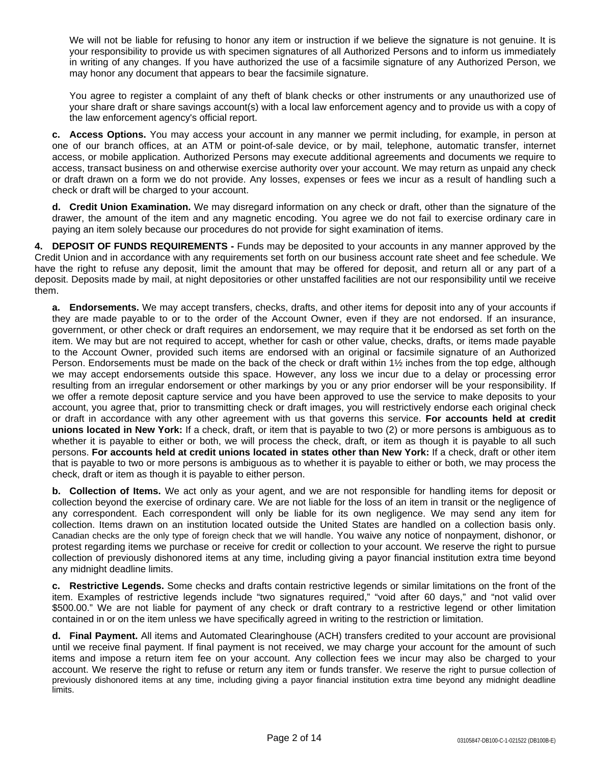We will not be liable for refusing to honor any item or instruction if we believe the signature is not genuine. It is your responsibility to provide us with specimen signatures of all Authorized Persons and to inform us immediately in writing of any changes. If you have authorized the use of a facsimile signature of any Authorized Person, we may honor any document that appears to bear the facsimile signature.

You agree to register a complaint of any theft of blank checks or other instruments or any unauthorized use of your share draft or share savings account(s) with a local law enforcement agency and to provide us with a copy of the law enforcement agency's official report.

**c. Access Options.** You may access your account in any manner we permit including, for example, in person at one of our branch offices, at an ATM or point-of-sale device, or by mail, telephone, automatic transfer, internet access, or mobile application. Authorized Persons may execute additional agreements and documents we require to access, transact business on and otherwise exercise authority over your account. We may return as unpaid any check or draft drawn on a form we do not provide. Any losses, expenses or fees we incur as a result of handling such a check or draft will be charged to your account.

**d. Credit Union Examination.** We may disregard information on any check or draft, other than the signature of the drawer, the amount of the item and any magnetic encoding. You agree we do not fail to exercise ordinary care in paying an item solely because our procedures do not provide for sight examination of items.

**4. DEPOSIT OF FUNDS REQUIREMENTS -** Funds may be deposited to your accounts in any manner approved by the Credit Union and in accordance with any requirements set forth on our business account rate sheet and fee schedule. We have the right to refuse any deposit, limit the amount that may be offered for deposit, and return all or any part of a deposit. Deposits made by mail, at night depositories or other unstaffed facilities are not our responsibility until we receive them.

**a. Endorsements.** We may accept transfers, checks, drafts, and other items for deposit into any of your accounts if they are made payable to or to the order of the Account Owner, even if they are not endorsed. If an insurance, government, or other check or draft requires an endorsement, we may require that it be endorsed as set forth on the item. We may but are not required to accept, whether for cash or other value, checks, drafts, or items made payable to the Account Owner, provided such items are endorsed with an original or facsimile signature of an Authorized Person. Endorsements must be made on the back of the check or draft within 1½ inches from the top edge, although we may accept endorsements outside this space. However, any loss we incur due to a delay or processing error resulting from an irregular endorsement or other markings by you or any prior endorser will be your responsibility. If we offer a remote deposit capture service and you have been approved to use the service to make deposits to your account, you agree that, prior to transmitting check or draft images, you will restrictively endorse each original check or draft in accordance with any other agreement with us that governs this service. **For accounts held at credit unions located in New York:** If a check, draft, or item that is payable to two (2) or more persons is ambiguous as to whether it is payable to either or both, we will process the check, draft, or item as though it is payable to all such persons. **For accounts held at credit unions located in states other than New York:** If a check, draft or other item that is payable to two or more persons is ambiguous as to whether it is payable to either or both, we may process the check, draft or item as though it is payable to either person.

**b. Collection of Items.** We act only as your agent, and we are not responsible for handling items for deposit or collection beyond the exercise of ordinary care. We are not liable for the loss of an item in transit or the negligence of any correspondent. Each correspondent will only be liable for its own negligence. We may send any item for collection. Items drawn on an institution located outside the United States are handled on a collection basis only. Canadian checks are the only type of foreign check that we will handle. You waive any notice of nonpayment, dishonor, or protest regarding items we purchase or receive for credit or collection to your account. We reserve the right to pursue collection of previously dishonored items at any time, including giving a payor financial institution extra time beyond any midnight deadline limits.

**c. Restrictive Legends.** Some checks and drafts contain restrictive legends or similar limitations on the front of the item. Examples of restrictive legends include "two signatures required," "void after 60 days," and "not valid over \$500.00." We are not liable for payment of any check or draft contrary to a restrictive legend or other limitation contained in or on the item unless we have specifically agreed in writing to the restriction or limitation.

**d. Final Payment.** All items and Automated Clearinghouse (ACH) transfers credited to your account are provisional until we receive final payment. If final payment is not received, we may charge your account for the amount of such items and impose a return item fee on your account. Any collection fees we incur may also be charged to your account. We reserve the right to refuse or return any item or funds transfer. We reserve the right to pursue collection of previously dishonored items at any time, including giving a payor financial institution extra time beyond any midnight deadline limits.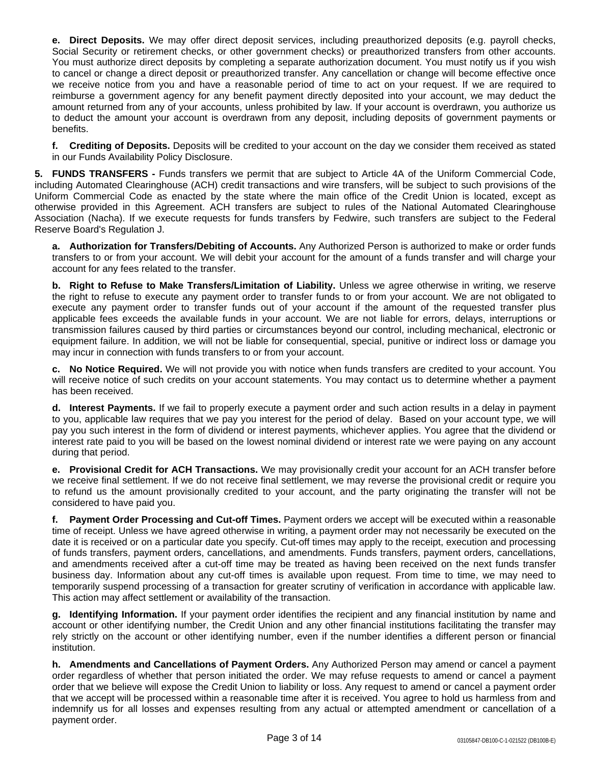**e. Direct Deposits.** We may offer direct deposit services, including preauthorized deposits (e.g. payroll checks, Social Security or retirement checks, or other government checks) or preauthorized transfers from other accounts. You must authorize direct deposits by completing a separate authorization document. You must notify us if you wish to cancel or change a direct deposit or preauthorized transfer. Any cancellation or change will become effective once we receive notice from you and have a reasonable period of time to act on your request. If we are required to reimburse a government agency for any benefit payment directly deposited into your account, we may deduct the amount returned from any of your accounts, unless prohibited by law. If your account is overdrawn, you authorize us to deduct the amount your account is overdrawn from any deposit, including deposits of government payments or benefits.

**f. Crediting of Deposits.** Deposits will be credited to your account on the day we consider them received as stated in our Funds Availability Policy Disclosure.

**5. FUNDS TRANSFERS -** Funds transfers we permit that are subject to Article 4A of the Uniform Commercial Code, including Automated Clearinghouse (ACH) credit transactions and wire transfers, will be subject to such provisions of the Uniform Commercial Code as enacted by the state where the main office of the Credit Union is located, except as otherwise provided in this Agreement. ACH transfers are subject to rules of the National Automated Clearinghouse Association (Nacha). If we execute requests for funds transfers by Fedwire, such transfers are subject to the Federal Reserve Board's Regulation J.

**a. Authorization for Transfers/Debiting of Accounts.** Any Authorized Person is authorized to make or order funds transfers to or from your account. We will debit your account for the amount of a funds transfer and will charge your account for any fees related to the transfer.

**b. Right to Refuse to Make Transfers/Limitation of Liability.** Unless we agree otherwise in writing, we reserve the right to refuse to execute any payment order to transfer funds to or from your account. We are not obligated to execute any payment order to transfer funds out of your account if the amount of the requested transfer plus applicable fees exceeds the available funds in your account. We are not liable for errors, delays, interruptions or transmission failures caused by third parties or circumstances beyond our control, including mechanical, electronic or equipment failure. In addition, we will not be liable for consequential, special, punitive or indirect loss or damage you may incur in connection with funds transfers to or from your account.

**c. No Notice Required.** We will not provide you with notice when funds transfers are credited to your account. You will receive notice of such credits on your account statements. You may contact us to determine whether a payment has been received.

**d. Interest Payments.** If we fail to properly execute a payment order and such action results in a delay in payment to you, applicable law requires that we pay you interest for the period of delay. Based on your account type, we will pay you such interest in the form of dividend or interest payments, whichever applies. You agree that the dividend or interest rate paid to you will be based on the lowest nominal dividend or interest rate we were paying on any account during that period.

**e. Provisional Credit for ACH Transactions.** We may provisionally credit your account for an ACH transfer before we receive final settlement. If we do not receive final settlement, we may reverse the provisional credit or require you to refund us the amount provisionally credited to your account, and the party originating the transfer will not be considered to have paid you.

**f. Payment Order Processing and Cut-off Times.** Payment orders we accept will be executed within a reasonable time of receipt. Unless we have agreed otherwise in writing, a payment order may not necessarily be executed on the date it is received or on a particular date you specify. Cut-off times may apply to the receipt, execution and processing of funds transfers, payment orders, cancellations, and amendments. Funds transfers, payment orders, cancellations, and amendments received after a cut-off time may be treated as having been received on the next funds transfer business day. Information about any cut-off times is available upon request. From time to time, we may need to temporarily suspend processing of a transaction for greater scrutiny of verification in accordance with applicable law. This action may affect settlement or availability of the transaction.

**g. Identifying Information.** If your payment order identifies the recipient and any financial institution by name and account or other identifying number, the Credit Union and any other financial institutions facilitating the transfer may rely strictly on the account or other identifying number, even if the number identifies a different person or financial institution.

**h. Amendments and Cancellations of Payment Orders.** Any Authorized Person may amend or cancel a payment order regardless of whether that person initiated the order. We may refuse requests to amend or cancel a payment order that we believe will expose the Credit Union to liability or loss. Any request to amend or cancel a payment order that we accept will be processed within a reasonable time after it is received. You agree to hold us harmless from and indemnify us for all losses and expenses resulting from any actual or attempted amendment or cancellation of a payment order.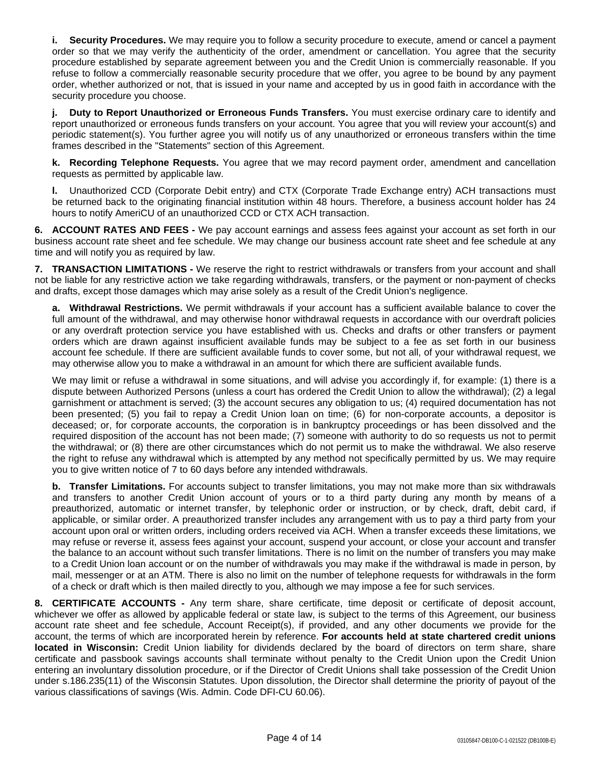**i. Security Procedures.** We may require you to follow a security procedure to execute, amend or cancel a payment order so that we may verify the authenticity of the order, amendment or cancellation. You agree that the security procedure established by separate agreement between you and the Credit Union is commercially reasonable. If you refuse to follow a commercially reasonable security procedure that we offer, you agree to be bound by any payment order, whether authorized or not, that is issued in your name and accepted by us in good faith in accordance with the security procedure you choose.

**j. Duty to Report Unauthorized or Erroneous Funds Transfers.** You must exercise ordinary care to identify and report unauthorized or erroneous funds transfers on your account. You agree that you will review your account(s) and periodic statement(s). You further agree you will notify us of any unauthorized or erroneous transfers within the time frames described in the "Statements" section of this Agreement.

**k. Recording Telephone Requests.** You agree that we may record payment order, amendment and cancellation requests as permitted by applicable law.

**l.** Unauthorized CCD (Corporate Debit entry) and CTX (Corporate Trade Exchange entry) ACH transactions must be returned back to the originating financial institution within 48 hours. Therefore, a business account holder has 24 hours to notify AmeriCU of an unauthorized CCD or CTX ACH transaction.

**6. ACCOUNT RATES AND FEES -** We pay account earnings and assess fees against your account as set forth in our business account rate sheet and fee schedule. We may change our business account rate sheet and fee schedule at any time and will notify you as required by law.

**7. TRANSACTION LIMITATIONS -** We reserve the right to restrict withdrawals or transfers from your account and shall not be liable for any restrictive action we take regarding withdrawals, transfers, or the payment or non-payment of checks and drafts, except those damages which may arise solely as a result of the Credit Union's negligence.

**a. Withdrawal Restrictions.** We permit withdrawals if your account has a sufficient available balance to cover the full amount of the withdrawal, and may otherwise honor withdrawal requests in accordance with our overdraft policies or any overdraft protection service you have established with us. Checks and drafts or other transfers or payment orders which are drawn against insufficient available funds may be subject to a fee as set forth in our business account fee schedule. If there are sufficient available funds to cover some, but not all, of your withdrawal request, we may otherwise allow you to make a withdrawal in an amount for which there are sufficient available funds.

We may limit or refuse a withdrawal in some situations, and will advise you accordingly if, for example: (1) there is a dispute between Authorized Persons (unless a court has ordered the Credit Union to allow the withdrawal); (2) a legal garnishment or attachment is served; (3) the account secures any obligation to us; (4) required documentation has not been presented; (5) you fail to repay a Credit Union loan on time; (6) for non-corporate accounts, a depositor is deceased; or, for corporate accounts, the corporation is in bankruptcy proceedings or has been dissolved and the required disposition of the account has not been made; (7) someone with authority to do so requests us not to permit the withdrawal; or (8) there are other circumstances which do not permit us to make the withdrawal. We also reserve the right to refuse any withdrawal which is attempted by any method not specifically permitted by us. We may require you to give written notice of 7 to 60 days before any intended withdrawals.

**b. Transfer Limitations.** For accounts subject to transfer limitations, you may not make more than six withdrawals and transfers to another Credit Union account of yours or to a third party during any month by means of a preauthorized, automatic or internet transfer, by telephonic order or instruction, or by check, draft, debit card, if applicable, or similar order. A preauthorized transfer includes any arrangement with us to pay a third party from your account upon oral or written orders, including orders received via ACH. When a transfer exceeds these limitations, we may refuse or reverse it, assess fees against your account, suspend your account, or close your account and transfer the balance to an account without such transfer limitations. There is no limit on the number of transfers you may make to a Credit Union loan account or on the number of withdrawals you may make if the withdrawal is made in person, by mail, messenger or at an ATM. There is also no limit on the number of telephone requests for withdrawals in the form of a check or draft which is then mailed directly to you, although we may impose a fee for such services.

**8. CERTIFICATE ACCOUNTS -** Any term share, share certificate, time deposit or certificate of deposit account, whichever we offer as allowed by applicable federal or state law, is subject to the terms of this Agreement, our business account rate sheet and fee schedule, Account Receipt(s), if provided, and any other documents we provide for the account, the terms of which are incorporated herein by reference. **For accounts held at state chartered credit unions located in Wisconsin:** Credit Union liability for dividends declared by the board of directors on term share, share certificate and passbook savings accounts shall terminate without penalty to the Credit Union upon the Credit Union entering an involuntary dissolution procedure, or if the Director of Credit Unions shall take possession of the Credit Union under s.186.235(11) of the Wisconsin Statutes. Upon dissolution, the Director shall determine the priority of payout of the various classifications of savings (Wis. Admin. Code DFI-CU 60.06).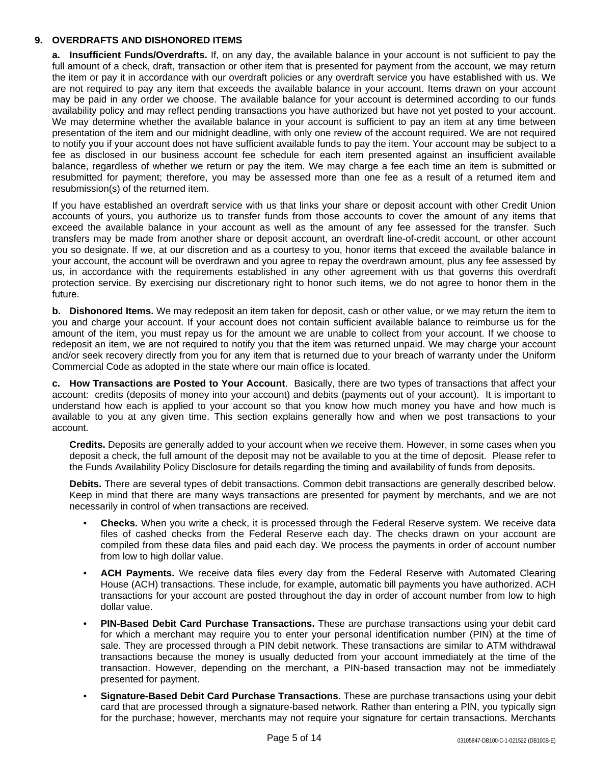# **9. OVERDRAFTS AND DISHONORED ITEMS**

**a. Insufficient Funds/Overdrafts.** If, on any day, the available balance in your account is not sufficient to pay the full amount of a check, draft, transaction or other item that is presented for payment from the account, we may return the item or pay it in accordance with our overdraft policies or any overdraft service you have established with us. We are not required to pay any item that exceeds the available balance in your account. Items drawn on your account may be paid in any order we choose. The available balance for your account is determined according to our funds availability policy and may reflect pending transactions you have authorized but have not yet posted to your account. We may determine whether the available balance in your account is sufficient to pay an item at any time between presentation of the item and our midnight deadline, with only one review of the account required. We are not required to notify you if your account does not have sufficient available funds to pay the item. Your account may be subject to a fee as disclosed in our business account fee schedule for each item presented against an insufficient available balance, regardless of whether we return or pay the item. We may charge a fee each time an item is submitted or resubmitted for payment; therefore, you may be assessed more than one fee as a result of a returned item and resubmission(s) of the returned item.

If you have established an overdraft service with us that links your share or deposit account with other Credit Union accounts of yours, you authorize us to transfer funds from those accounts to cover the amount of any items that exceed the available balance in your account as well as the amount of any fee assessed for the transfer. Such transfers may be made from another share or deposit account, an overdraft line-of-credit account, or other account you so designate. If we, at our discretion and as a courtesy to you, honor items that exceed the available balance in your account, the account will be overdrawn and you agree to repay the overdrawn amount, plus any fee assessed by us, in accordance with the requirements established in any other agreement with us that governs this overdraft protection service. By exercising our discretionary right to honor such items, we do not agree to honor them in the future.

**b. Dishonored Items.** We may redeposit an item taken for deposit, cash or other value, or we may return the item to you and charge your account. If your account does not contain sufficient available balance to reimburse us for the amount of the item, you must repay us for the amount we are unable to collect from your account. If we choose to redeposit an item, we are not required to notify you that the item was returned unpaid. We may charge your account and/or seek recovery directly from you for any item that is returned due to your breach of warranty under the Uniform Commercial Code as adopted in the state where our main office is located.

**c. How Transactions are Posted to Your Account**. Basically, there are two types of transactions that affect your account: credits (deposits of money into your account) and debits (payments out of your account). It is important to understand how each is applied to your account so that you know how much money you have and how much is available to you at any given time. This section explains generally how and when we post transactions to your account.

**Credits.** Deposits are generally added to your account when we receive them. However, in some cases when you deposit a check, the full amount of the deposit may not be available to you at the time of deposit. Please refer to the Funds Availability Policy Disclosure for details regarding the timing and availability of funds from deposits.

**Debits.** There are several types of debit transactions. Common debit transactions are generally described below. Keep in mind that there are many ways transactions are presented for payment by merchants, and we are not necessarily in control of when transactions are received.

- **Checks.** When you write a check, it is processed through the Federal Reserve system. We receive data files of cashed checks from the Federal Reserve each day. The checks drawn on your account are compiled from these data files and paid each day. We process the payments in order of account number from low to high dollar value.
- **ACH Payments.** We receive data files every day from the Federal Reserve with Automated Clearing House (ACH) transactions. These include, for example, automatic bill payments you have authorized. ACH transactions for your account are posted throughout the day in order of account number from low to high dollar value.
- **PIN-Based Debit Card Purchase Transactions.** These are purchase transactions using your debit card for which a merchant may require you to enter your personal identification number (PIN) at the time of sale. They are processed through a PIN debit network. These transactions are similar to ATM withdrawal transactions because the money is usually deducted from your account immediately at the time of the transaction. However, depending on the merchant, a PIN-based transaction may not be immediately presented for payment.
- **Signature-Based Debit Card Purchase Transactions**. These are purchase transactions using your debit card that are processed through a signature-based network. Rather than entering a PIN, you typically sign for the purchase; however, merchants may not require your signature for certain transactions. Merchants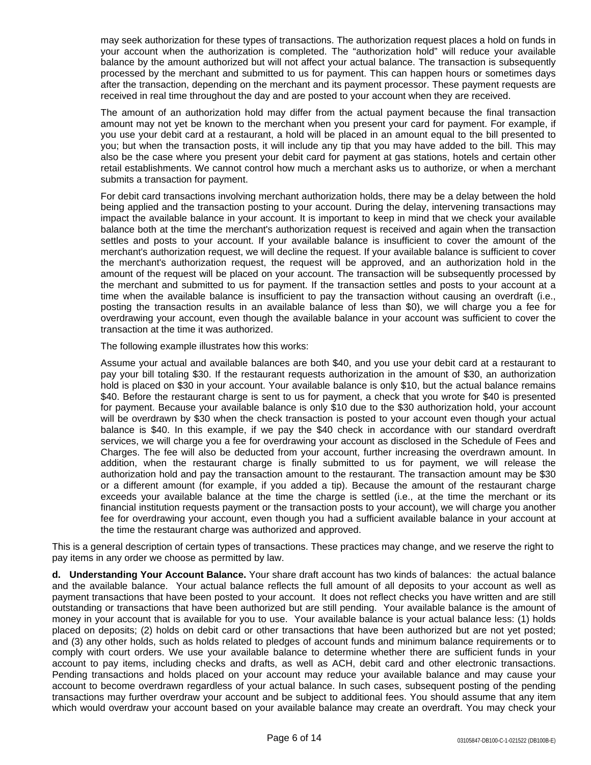may seek authorization for these types of transactions. The authorization request places a hold on funds in your account when the authorization is completed. The "authorization hold" will reduce your available balance by the amount authorized but will not affect your actual balance. The transaction is subsequently processed by the merchant and submitted to us for payment. This can happen hours or sometimes days after the transaction, depending on the merchant and its payment processor. These payment requests are received in real time throughout the day and are posted to your account when they are received.

The amount of an authorization hold may differ from the actual payment because the final transaction amount may not yet be known to the merchant when you present your card for payment. For example, if you use your debit card at a restaurant, a hold will be placed in an amount equal to the bill presented to you; but when the transaction posts, it will include any tip that you may have added to the bill. This may also be the case where you present your debit card for payment at gas stations, hotels and certain other retail establishments. We cannot control how much a merchant asks us to authorize, or when a merchant submits a transaction for payment.

For debit card transactions involving merchant authorization holds, there may be a delay between the hold being applied and the transaction posting to your account. During the delay, intervening transactions may impact the available balance in your account. It is important to keep in mind that we check your available balance both at the time the merchant's authorization request is received and again when the transaction settles and posts to your account. If your available balance is insufficient to cover the amount of the merchant's authorization request, we will decline the request. If your available balance is sufficient to cover the merchant's authorization request, the request will be approved, and an authorization hold in the amount of the request will be placed on your account. The transaction will be subsequently processed by the merchant and submitted to us for payment. If the transaction settles and posts to your account at a time when the available balance is insufficient to pay the transaction without causing an overdraft (i.e., posting the transaction results in an available balance of less than \$0), we will charge you a fee for overdrawing your account, even though the available balance in your account was sufficient to cover the transaction at the time it was authorized.

The following example illustrates how this works:

Assume your actual and available balances are both \$40, and you use your debit card at a restaurant to pay your bill totaling \$30. If the restaurant requests authorization in the amount of \$30, an authorization hold is placed on \$30 in your account. Your available balance is only \$10, but the actual balance remains \$40. Before the restaurant charge is sent to us for payment, a check that you wrote for \$40 is presented for payment. Because your available balance is only \$10 due to the \$30 authorization hold, your account will be overdrawn by \$30 when the check transaction is posted to your account even though your actual balance is \$40. In this example, if we pay the \$40 check in accordance with our standard overdraft services, we will charge you a fee for overdrawing your account as disclosed in the Schedule of Fees and Charges. The fee will also be deducted from your account, further increasing the overdrawn amount. In addition, when the restaurant charge is finally submitted to us for payment, we will release the authorization hold and pay the transaction amount to the restaurant. The transaction amount may be \$30 or a different amount (for example, if you added a tip). Because the amount of the restaurant charge exceeds your available balance at the time the charge is settled (i.e., at the time the merchant or its financial institution requests payment or the transaction posts to your account), we will charge you another fee for overdrawing your account, even though you had a sufficient available balance in your account at the time the restaurant charge was authorized and approved.

This is a general description of certain types of transactions. These practices may change, and we reserve the right to pay items in any order we choose as permitted by law.

**d. Understanding Your Account Balance.** Your share draft account has two kinds of balances: the actual balance and the available balance. Your actual balance reflects the full amount of all deposits to your account as well as payment transactions that have been posted to your account. It does not reflect checks you have written and are still outstanding or transactions that have been authorized but are still pending. Your available balance is the amount of money in your account that is available for you to use. Your available balance is your actual balance less: (1) holds placed on deposits; (2) holds on debit card or other transactions that have been authorized but are not yet posted; and (3) any other holds, such as holds related to pledges of account funds and minimum balance requirements or to comply with court orders. We use your available balance to determine whether there are sufficient funds in your account to pay items, including checks and drafts, as well as ACH, debit card and other electronic transactions. Pending transactions and holds placed on your account may reduce your available balance and may cause your account to become overdrawn regardless of your actual balance. In such cases, subsequent posting of the pending transactions may further overdraw your account and be subject to additional fees. You should assume that any item which would overdraw your account based on your available balance may create an overdraft. You may check your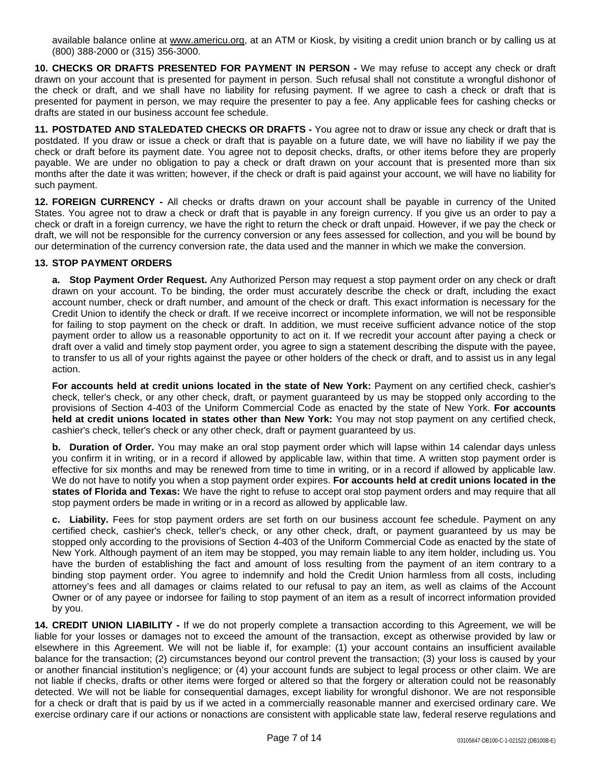available balance online at [www.americu.org](http://www.americu.org), at an ATM or Kiosk, by visiting a credit union branch or by calling us at (800) 388-2000 or (315) 356-3000.

**10. CHECKS OR DRAFTS PRESENTED FOR PAYMENT IN PERSON -** We may refuse to accept any check or draft drawn on your account that is presented for payment in person. Such refusal shall not constitute a wrongful dishonor of the check or draft, and we shall have no liability for refusing payment. If we agree to cash a check or draft that is presented for payment in person, we may require the presenter to pay a fee. Any applicable fees for cashing checks or drafts are stated in our business account fee schedule.

**11. POSTDATED AND STALEDATED CHECKS OR DRAFTS -** You agree not to draw or issue any check or draft that is postdated. If you draw or issue a check or draft that is payable on a future date, we will have no liability if we pay the check or draft before its payment date. You agree not to deposit checks, drafts, or other items before they are properly payable. We are under no obligation to pay a check or draft drawn on your account that is presented more than six months after the date it was written; however, if the check or draft is paid against your account, we will have no liability for such payment.

**12. FOREIGN CURRENCY -** All checks or drafts drawn on your account shall be payable in currency of the United States. You agree not to draw a check or draft that is payable in any foreign currency. If you give us an order to pay a check or draft in a foreign currency, we have the right to return the check or draft unpaid. However, if we pay the check or draft, we will not be responsible for the currency conversion or any fees assessed for collection, and you will be bound by our determination of the currency conversion rate, the data used and the manner in which we make the conversion.

# **13. STOP PAYMENT ORDERS**

**a. Stop Payment Order Request.** Any Authorized Person may request a stop payment order on any check or draft drawn on your account. To be binding, the order must accurately describe the check or draft, including the exact account number, check or draft number, and amount of the check or draft. This exact information is necessary for the Credit Union to identify the check or draft. If we receive incorrect or incomplete information, we will not be responsible for failing to stop payment on the check or draft. In addition, we must receive sufficient advance notice of the stop payment order to allow us a reasonable opportunity to act on it. If we recredit your account after paying a check or draft over a valid and timely stop payment order, you agree to sign a statement describing the dispute with the payee, to transfer to us all of your rights against the payee or other holders of the check or draft, and to assist us in any legal action.

**For accounts held at credit unions located in the state of New York:** Payment on any certified check, cashier's check, teller's check, or any other check, draft, or payment guaranteed by us may be stopped only according to the provisions of Section 4-403 of the Uniform Commercial Code as enacted by the state of New York. **For accounts held at credit unions located in states other than New York:** You may not stop payment on any certified check, cashier's check, teller's check or any other check, draft or payment guaranteed by us.

**b. Duration of Order.** You may make an oral stop payment order which will lapse within 14 calendar days unless you confirm it in writing, or in a record if allowed by applicable law, within that time. A written stop payment order is effective for six months and may be renewed from time to time in writing, or in a record if allowed by applicable law. We do not have to notify you when a stop payment order expires. **For accounts held at credit unions located in the states of Florida and Texas:** We have the right to refuse to accept oral stop payment orders and may require that all stop payment orders be made in writing or in a record as allowed by applicable law.

**c. Liability.** Fees for stop payment orders are set forth on our business account fee schedule. Payment on any certified check, cashier's check, teller's check, or any other check, draft, or payment guaranteed by us may be stopped only according to the provisions of Section 4-403 of the Uniform Commercial Code as enacted by the state of New York. Although payment of an item may be stopped, you may remain liable to any item holder, including us. You have the burden of establishing the fact and amount of loss resulting from the payment of an item contrary to a binding stop payment order. You agree to indemnify and hold the Credit Union harmless from all costs, including attorney's fees and all damages or claims related to our refusal to pay an item, as well as claims of the Account Owner or of any payee or indorsee for failing to stop payment of an item as a result of incorrect information provided by you.

**14. CREDIT UNION LIABILITY -** If we do not properly complete a transaction according to this Agreement, we will be liable for your losses or damages not to exceed the amount of the transaction, except as otherwise provided by law or elsewhere in this Agreement. We will not be liable if, for example: (1) your account contains an insufficient available balance for the transaction; (2) circumstances beyond our control prevent the transaction; (3) your loss is caused by your or another financial institution's negligence; or (4) your account funds are subject to legal process or other claim. We are not liable if checks, drafts or other items were forged or altered so that the forgery or alteration could not be reasonably detected. We will not be liable for consequential damages, except liability for wrongful dishonor. We are not responsible for a check or draft that is paid by us if we acted in a commercially reasonable manner and exercised ordinary care. We exercise ordinary care if our actions or nonactions are consistent with applicable state law, federal reserve regulations and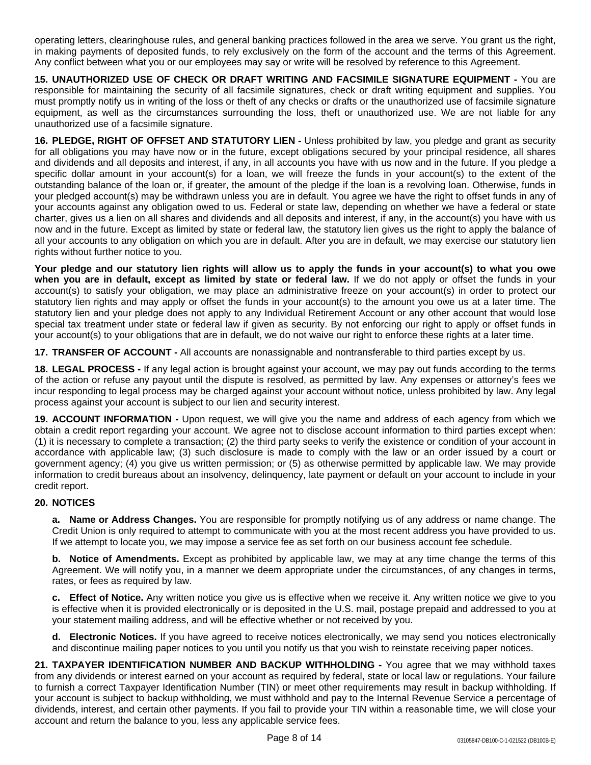operating letters, clearinghouse rules, and general banking practices followed in the area we serve. You grant us the right, in making payments of deposited funds, to rely exclusively on the form of the account and the terms of this Agreement. Any conflict between what you or our employees may say or write will be resolved by reference to this Agreement.

**15. UNAUTHORIZED USE OF CHECK OR DRAFT WRITING AND FACSIMILE SIGNATURE EQUIPMENT -** You are responsible for maintaining the security of all facsimile signatures, check or draft writing equipment and supplies. You must promptly notify us in writing of the loss or theft of any checks or drafts or the unauthorized use of facsimile signature equipment, as well as the circumstances surrounding the loss, theft or unauthorized use. We are not liable for any unauthorized use of a facsimile signature.

**16. PLEDGE, RIGHT OF OFFSET AND STATUTORY LIEN -** Unless prohibited by law, you pledge and grant as security for all obligations you may have now or in the future, except obligations secured by your principal residence, all shares and dividends and all deposits and interest, if any, in all accounts you have with us now and in the future. If you pledge a specific dollar amount in your account(s) for a loan, we will freeze the funds in your account(s) to the extent of the outstanding balance of the loan or, if greater, the amount of the pledge if the loan is a revolving loan. Otherwise, funds in your pledged account(s) may be withdrawn unless you are in default. You agree we have the right to offset funds in any of your accounts against any obligation owed to us. Federal or state law, depending on whether we have a federal or state charter, gives us a lien on all shares and dividends and all deposits and interest, if any, in the account(s) you have with us now and in the future. Except as limited by state or federal law, the statutory lien gives us the right to apply the balance of all your accounts to any obligation on which you are in default. After you are in default, we may exercise our statutory lien rights without further notice to you.

Your pledge and our statutory lien rights will allow us to apply the funds in your account(s) to what you owe **when you are in default, except as limited by state or federal law.** If we do not apply or offset the funds in your account(s) to satisfy your obligation, we may place an administrative freeze on your account(s) in order to protect our statutory lien rights and may apply or offset the funds in your account(s) to the amount you owe us at a later time. The statutory lien and your pledge does not apply to any Individual Retirement Account or any other account that would lose special tax treatment under state or federal law if given as security. By not enforcing our right to apply or offset funds in your account(s) to your obligations that are in default, we do not waive our right to enforce these rights at a later time.

**17. TRANSFER OF ACCOUNT -** All accounts are nonassignable and nontransferable to third parties except by us.

**18. LEGAL PROCESS -** If any legal action is brought against your account, we may pay out funds according to the terms of the action or refuse any payout until the dispute is resolved, as permitted by law. Any expenses or attorney's fees we incur responding to legal process may be charged against your account without notice, unless prohibited by law. Any legal process against your account is subject to our lien and security interest.

**19. ACCOUNT INFORMATION -** Upon request, we will give you the name and address of each agency from which we obtain a credit report regarding your account. We agree not to disclose account information to third parties except when: (1) it is necessary to complete a transaction; (2) the third party seeks to verify the existence or condition of your account in accordance with applicable law; (3) such disclosure is made to comply with the law or an order issued by a court or government agency; (4) you give us written permission; or (5) as otherwise permitted by applicable law. We may provide information to credit bureaus about an insolvency, delinquency, late payment or default on your account to include in your credit report.

# **20. NOTICES**

**a. Name or Address Changes.** You are responsible for promptly notifying us of any address or name change. The Credit Union is only required to attempt to communicate with you at the most recent address you have provided to us. If we attempt to locate you, we may impose a service fee as set forth on our business account fee schedule.

**b. Notice of Amendments.** Except as prohibited by applicable law, we may at any time change the terms of this Agreement. We will notify you, in a manner we deem appropriate under the circumstances, of any changes in terms, rates, or fees as required by law.

**c. Effect of Notice.** Any written notice you give us is effective when we receive it. Any written notice we give to you is effective when it is provided electronically or is deposited in the U.S. mail, postage prepaid and addressed to you at your statement mailing address, and will be effective whether or not received by you.

**d. Electronic Notices.** If you have agreed to receive notices electronically, we may send you notices electronically and discontinue mailing paper notices to you until you notify us that you wish to reinstate receiving paper notices.

**21. TAXPAYER IDENTIFICATION NUMBER AND BACKUP WITHHOLDING -** You agree that we may withhold taxes from any dividends or interest earned on your account as required by federal, state or local law or regulations. Your failure to furnish a correct Taxpayer Identification Number (TIN) or meet other requirements may result in backup withholding. If your account is subject to backup withholding, we must withhold and pay to the Internal Revenue Service a percentage of dividends, interest, and certain other payments. If you fail to provide your TIN within a reasonable time, we will close your account and return the balance to you, less any applicable service fees.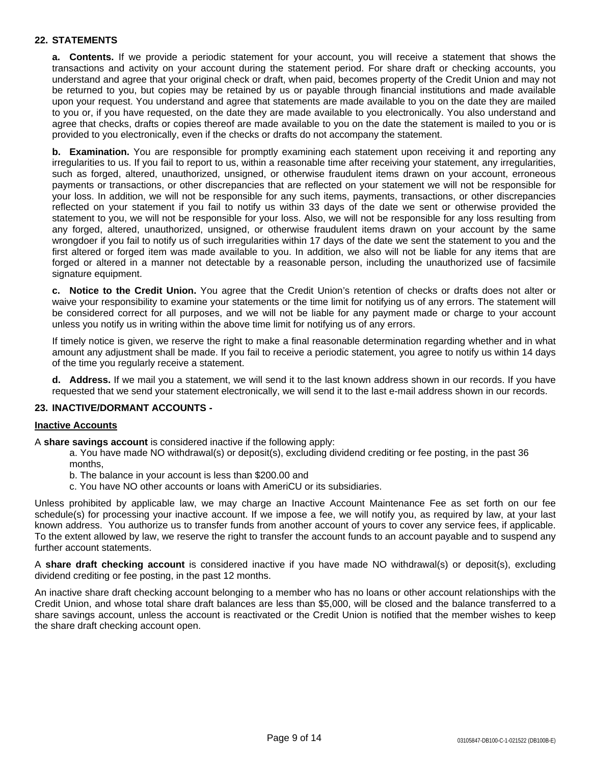# **22. STATEMENTS**

**a. Contents.** If we provide a periodic statement for your account, you will receive a statement that shows the transactions and activity on your account during the statement period. For share draft or checking accounts, you understand and agree that your original check or draft, when paid, becomes property of the Credit Union and may not be returned to you, but copies may be retained by us or payable through financial institutions and made available upon your request. You understand and agree that statements are made available to you on the date they are mailed to you or, if you have requested, on the date they are made available to you electronically. You also understand and agree that checks, drafts or copies thereof are made available to you on the date the statement is mailed to you or is provided to you electronically, even if the checks or drafts do not accompany the statement.

**b. Examination.** You are responsible for promptly examining each statement upon receiving it and reporting any irregularities to us. If you fail to report to us, within a reasonable time after receiving your statement, any irregularities, such as forged, altered, unauthorized, unsigned, or otherwise fraudulent items drawn on your account, erroneous payments or transactions, or other discrepancies that are reflected on your statement we will not be responsible for your loss. In addition, we will not be responsible for any such items, payments, transactions, or other discrepancies reflected on your statement if you fail to notify us within 33 days of the date we sent or otherwise provided the statement to you, we will not be responsible for your loss. Also, we will not be responsible for any loss resulting from any forged, altered, unauthorized, unsigned, or otherwise fraudulent items drawn on your account by the same wrongdoer if you fail to notify us of such irregularities within 17 days of the date we sent the statement to you and the first altered or forged item was made available to you. In addition, we also will not be liable for any items that are forged or altered in a manner not detectable by a reasonable person, including the unauthorized use of facsimile signature equipment.

**c. Notice to the Credit Union.** You agree that the Credit Union's retention of checks or drafts does not alter or waive your responsibility to examine your statements or the time limit for notifying us of any errors. The statement will be considered correct for all purposes, and we will not be liable for any payment made or charge to your account unless you notify us in writing within the above time limit for notifying us of any errors.

If timely notice is given, we reserve the right to make a final reasonable determination regarding whether and in what amount any adjustment shall be made. If you fail to receive a periodic statement, you agree to notify us within 14 days of the time you regularly receive a statement.

**d. Address.** If we mail you a statement, we will send it to the last known address shown in our records. If you have requested that we send your statement electronically, we will send it to the last e-mail address shown in our records.

# **23. INACTIVE/DORMANT ACCOUNTS -**

#### **Inactive Accounts**

A **share savings account** is considered inactive if the following apply:

a. You have made NO withdrawal(s) or deposit(s), excluding dividend crediting or fee posting, in the past 36 months,

- b. The balance in your account is less than \$200.00 and
- c. You have NO other accounts or loans with AmeriCU or its subsidiaries.

Unless prohibited by applicable law, we may charge an Inactive Account Maintenance Fee as set forth on our fee schedule(s) for processing your inactive account. If we impose a fee, we will notify you, as required by law, at your last known address. You authorize us to transfer funds from another account of yours to cover any service fees, if applicable. To the extent allowed by law, we reserve the right to transfer the account funds to an account payable and to suspend any further account statements.

A **share draft checking account** is considered inactive if you have made NO withdrawal(s) or deposit(s), excluding dividend crediting or fee posting, in the past 12 months.

An inactive share draft checking account belonging to a member who has no loans or other account relationships with the Credit Union, and whose total share draft balances are less than \$5,000, will be closed and the balance transferred to a share savings account, unless the account is reactivated or the Credit Union is notified that the member wishes to keep the share draft checking account open.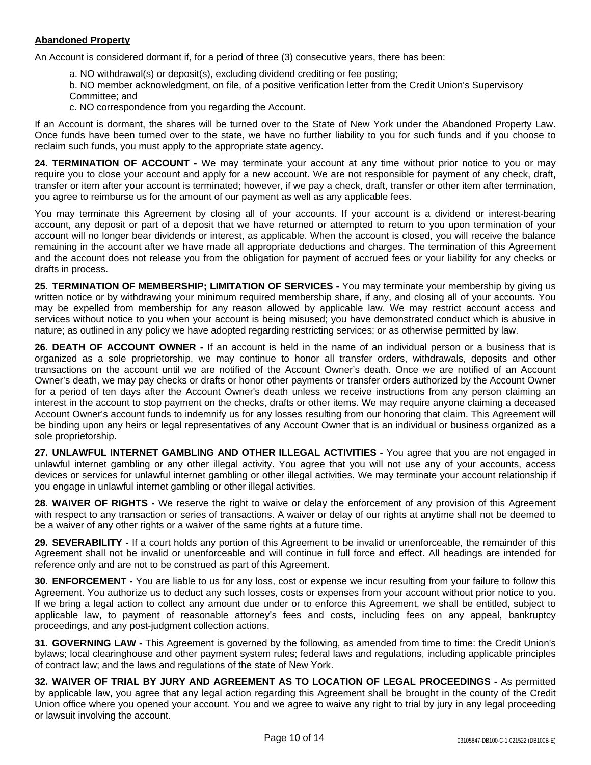# **Abandoned Property**

An Account is considered dormant if, for a period of three (3) consecutive years, there has been:

a. NO withdrawal(s) or deposit(s), excluding dividend crediting or fee posting;

b. NO member acknowledgment, on file, of a positive verification letter from the Credit Union's Supervisory Committee; and

c. NO correspondence from you regarding the Account.

If an Account is dormant, the shares will be turned over to the State of New York under the Abandoned Property Law. Once funds have been turned over to the state, we have no further liability to you for such funds and if you choose to reclaim such funds, you must apply to the appropriate state agency.

**24. TERMINATION OF ACCOUNT -** We may terminate your account at any time without prior notice to you or may require you to close your account and apply for a new account. We are not responsible for payment of any check, draft, transfer or item after your account is terminated; however, if we pay a check, draft, transfer or other item after termination, you agree to reimburse us for the amount of our payment as well as any applicable fees.

You may terminate this Agreement by closing all of your accounts. If your account is a dividend or interest-bearing account, any deposit or part of a deposit that we have returned or attempted to return to you upon termination of your account will no longer bear dividends or interest, as applicable. When the account is closed, you will receive the balance remaining in the account after we have made all appropriate deductions and charges. The termination of this Agreement and the account does not release you from the obligation for payment of accrued fees or your liability for any checks or drafts in process.

**25. TERMINATION OF MEMBERSHIP; LIMITATION OF SERVICES -** You may terminate your membership by giving us written notice or by withdrawing your minimum required membership share, if any, and closing all of your accounts. You may be expelled from membership for any reason allowed by applicable law. We may restrict account access and services without notice to you when your account is being misused; you have demonstrated conduct which is abusive in nature; as outlined in any policy we have adopted regarding restricting services; or as otherwise permitted by law.

**26. DEATH OF ACCOUNT OWNER -** If an account is held in the name of an individual person or a business that is organized as a sole proprietorship, we may continue to honor all transfer orders, withdrawals, deposits and other transactions on the account until we are notified of the Account Owner's death. Once we are notified of an Account Owner's death, we may pay checks or drafts or honor other payments or transfer orders authorized by the Account Owner for a period of ten days after the Account Owner's death unless we receive instructions from any person claiming an interest in the account to stop payment on the checks, drafts or other items. We may require anyone claiming a deceased Account Owner's account funds to indemnify us for any losses resulting from our honoring that claim. This Agreement will be binding upon any heirs or legal representatives of any Account Owner that is an individual or business organized as a sole proprietorship.

**27. UNLAWFUL INTERNET GAMBLING AND OTHER ILLEGAL ACTIVITIES -** You agree that you are not engaged in unlawful internet gambling or any other illegal activity. You agree that you will not use any of your accounts, access devices or services for unlawful internet gambling or other illegal activities. We may terminate your account relationship if you engage in unlawful internet gambling or other illegal activities.

**28. WAIVER OF RIGHTS -** We reserve the right to waive or delay the enforcement of any provision of this Agreement with respect to any transaction or series of transactions. A waiver or delay of our rights at anytime shall not be deemed to be a waiver of any other rights or a waiver of the same rights at a future time.

**29. SEVERABILITY -** If a court holds any portion of this Agreement to be invalid or unenforceable, the remainder of this Agreement shall not be invalid or unenforceable and will continue in full force and effect. All headings are intended for reference only and are not to be construed as part of this Agreement.

**30. ENFORCEMENT -** You are liable to us for any loss, cost or expense we incur resulting from your failure to follow this Agreement. You authorize us to deduct any such losses, costs or expenses from your account without prior notice to you. If we bring a legal action to collect any amount due under or to enforce this Agreement, we shall be entitled, subject to applicable law, to payment of reasonable attorney's fees and costs, including fees on any appeal, bankruptcy proceedings, and any post-judgment collection actions.

**31. GOVERNING LAW -** This Agreement is governed by the following, as amended from time to time: the Credit Union's bylaws; local clearinghouse and other payment system rules; federal laws and regulations, including applicable principles of contract law; and the laws and regulations of the state of New York.

**32. WAIVER OF TRIAL BY JURY AND AGREEMENT AS TO LOCATION OF LEGAL PROCEEDINGS -** As permitted by applicable law, you agree that any legal action regarding this Agreement shall be brought in the county of the Credit Union office where you opened your account. You and we agree to waive any right to trial by jury in any legal proceeding or lawsuit involving the account.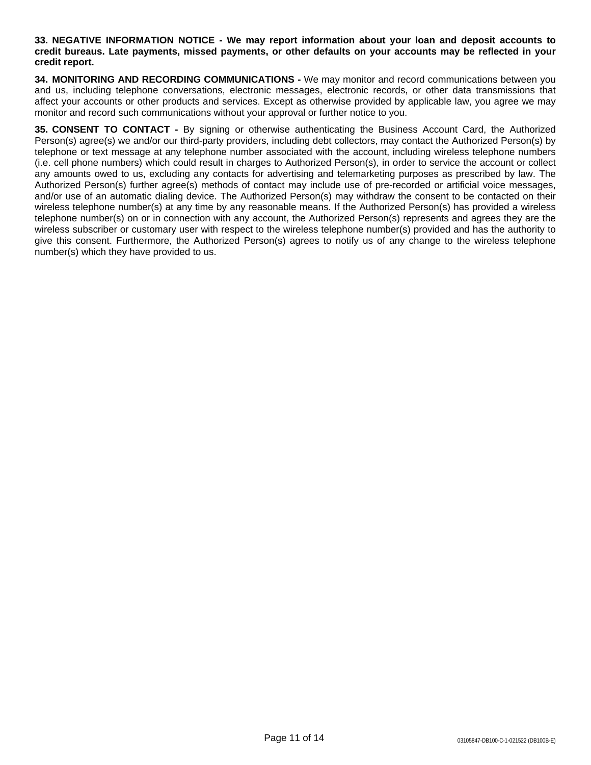**33. NEGATIVE INFORMATION NOTICE - We may report information about your loan and deposit accounts to** credit bureaus. Late payments, missed payments, or other defaults on your accounts may be reflected in your **credit report.**

**34. MONITORING AND RECORDING COMMUNICATIONS -** We may monitor and record communications between you and us, including telephone conversations, electronic messages, electronic records, or other data transmissions that affect your accounts or other products and services. Except as otherwise provided by applicable law, you agree we may monitor and record such communications without your approval or further notice to you.

**35. CONSENT TO CONTACT -** By signing or otherwise authenticating the Business Account Card, the Authorized Person(s) agree(s) we and/or our third-party providers, including debt collectors, may contact the Authorized Person(s) by telephone or text message at any telephone number associated with the account, including wireless telephone numbers (i.e. cell phone numbers) which could result in charges to Authorized Person(s), in order to service the account or collect any amounts owed to us, excluding any contacts for advertising and telemarketing purposes as prescribed by law. The Authorized Person(s) further agree(s) methods of contact may include use of pre-recorded or artificial voice messages, and/or use of an automatic dialing device. The Authorized Person(s) may withdraw the consent to be contacted on their wireless telephone number(s) at any time by any reasonable means. If the Authorized Person(s) has provided a wireless telephone number(s) on or in connection with any account, the Authorized Person(s) represents and agrees they are the wireless subscriber or customary user with respect to the wireless telephone number(s) provided and has the authority to give this consent. Furthermore, the Authorized Person(s) agrees to notify us of any change to the wireless telephone number(s) which they have provided to us.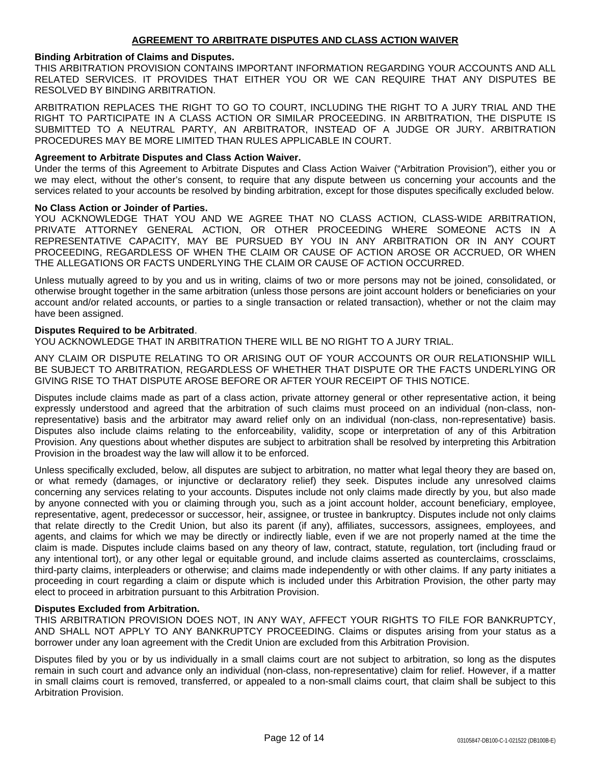### **Binding Arbitration of Claims and Disputes.**

THIS ARBITRATION PROVISION CONTAINS IMPORTANT INFORMATION REGARDING YOUR ACCOUNTS AND ALL RELATED SERVICES. IT PROVIDES THAT EITHER YOU OR WE CAN REQUIRE THAT ANY DISPUTES BE RESOLVED BY BINDING ARBITRATION.

ARBITRATION REPLACES THE RIGHT TO GO TO COURT, INCLUDING THE RIGHT TO A JURY TRIAL AND THE RIGHT TO PARTICIPATE IN A CLASS ACTION OR SIMILAR PROCEEDING. IN ARBITRATION, THE DISPUTE IS SUBMITTED TO A NEUTRAL PARTY, AN ARBITRATOR, INSTEAD OF A JUDGE OR JURY. ARBITRATION PROCEDURES MAY BE MORE LIMITED THAN RULES APPLICABLE IN COURT.

### **Agreement to Arbitrate Disputes and Class Action Waiver.**

Under the terms of this Agreement to Arbitrate Disputes and Class Action Waiver ("Arbitration Provision"), either you or we may elect, without the other's consent, to require that any dispute between us concerning your accounts and the services related to your accounts be resolved by binding arbitration, except for those disputes specifically excluded below.

#### **No Class Action or Joinder of Parties.**

YOU ACKNOWLEDGE THAT YOU AND WE AGREE THAT NO CLASS ACTION, CLASS-WIDE ARBITRATION, PRIVATE ATTORNEY GENERAL ACTION, OR OTHER PROCEEDING WHERE SOMEONE ACTS IN A REPRESENTATIVE CAPACITY, MAY BE PURSUED BY YOU IN ANY ARBITRATION OR IN ANY COURT PROCEEDING, REGARDLESS OF WHEN THE CLAIM OR CAUSE OF ACTION AROSE OR ACCRUED, OR WHEN THE ALLEGATIONS OR FACTS UNDERLYING THE CLAIM OR CAUSE OF ACTION OCCURRED.

Unless mutually agreed to by you and us in writing, claims of two or more persons may not be joined, consolidated, or otherwise brought together in the same arbitration (unless those persons are joint account holders or beneficiaries on your account and/or related accounts, or parties to a single transaction or related transaction), whether or not the claim may have been assigned.

#### **Disputes Required to be Arbitrated**.

YOU ACKNOWLEDGE THAT IN ARBITRATION THERE WILL BE NO RIGHT TO A JURY TRIAL.

ANY CLAIM OR DISPUTE RELATING TO OR ARISING OUT OF YOUR ACCOUNTS OR OUR RELATIONSHIP WILL BE SUBJECT TO ARBITRATION, REGARDLESS OF WHETHER THAT DISPUTE OR THE FACTS UNDERLYING OR GIVING RISE TO THAT DISPUTE AROSE BEFORE OR AFTER YOUR RECEIPT OF THIS NOTICE.

Disputes include claims made as part of a class action, private attorney general or other representative action, it being expressly understood and agreed that the arbitration of such claims must proceed on an individual (non-class, nonrepresentative) basis and the arbitrator may award relief only on an individual (non-class, non-representative) basis. Disputes also include claims relating to the enforceability, validity, scope or interpretation of any of this Arbitration Provision. Any questions about whether disputes are subject to arbitration shall be resolved by interpreting this Arbitration Provision in the broadest way the law will allow it to be enforced.

Unless specifically excluded, below, all disputes are subject to arbitration, no matter what legal theory they are based on, or what remedy (damages, or injunctive or declaratory relief) they seek. Disputes include any unresolved claims concerning any services relating to your accounts. Disputes include not only claims made directly by you, but also made by anyone connected with you or claiming through you, such as a joint account holder, account beneficiary, employee, representative, agent, predecessor or successor, heir, assignee, or trustee in bankruptcy. Disputes include not only claims that relate directly to the Credit Union, but also its parent (if any), affiliates, successors, assignees, employees, and agents, and claims for which we may be directly or indirectly liable, even if we are not properly named at the time the claim is made. Disputes include claims based on any theory of law, contract, statute, regulation, tort (including fraud or any intentional tort), or any other legal or equitable ground, and include claims asserted as counterclaims, crossclaims, third-party claims, interpleaders or otherwise; and claims made independently or with other claims. If any party initiates a proceeding in court regarding a claim or dispute which is included under this Arbitration Provision, the other party may elect to proceed in arbitration pursuant to this Arbitration Provision.

#### **Disputes Excluded from Arbitration.**

THIS ARBITRATION PROVISION DOES NOT, IN ANY WAY, AFFECT YOUR RIGHTS TO FILE FOR BANKRUPTCY, AND SHALL NOT APPLY TO ANY BANKRUPTCY PROCEEDING. Claims or disputes arising from your status as a borrower under any loan agreement with the Credit Union are excluded from this Arbitration Provision.

Disputes filed by you or by us individually in a small claims court are not subject to arbitration, so long as the disputes remain in such court and advance only an individual (non-class, non-representative) claim for relief. However, if a matter in small claims court is removed, transferred, or appealed to a non-small claims court, that claim shall be subject to this Arbitration Provision.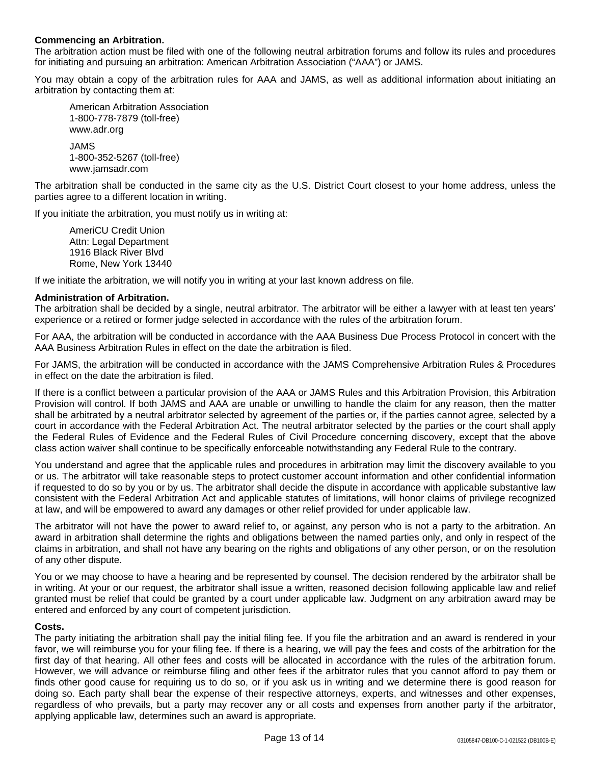# **Commencing an Arbitration.**

The arbitration action must be filed with one of the following neutral arbitration forums and follow its rules and procedures for initiating and pursuing an arbitration: American Arbitration Association ("AAA") or JAMS.

You may obtain a copy of the arbitration rules for AAA and JAMS, as well as additional information about initiating an arbitration by contacting them at:

American Arbitration Association 1-800-778-7879 (toll-free) www.adr.org

JAMS 1-800-352-5267 (toll-free) www.jamsadr.com

The arbitration shall be conducted in the same city as the U.S. District Court closest to your home address, unless the parties agree to a different location in writing.

If you initiate the arbitration, you must notify us in writing at:

AmeriCU Credit Union Attn: Legal Department 1916 Black River Blvd Rome, New York 13440

If we initiate the arbitration, we will notify you in writing at your last known address on file.

# **Administration of Arbitration.**

The arbitration shall be decided by a single, neutral arbitrator. The arbitrator will be either a lawyer with at least ten years' experience or a retired or former judge selected in accordance with the rules of the arbitration forum.

For AAA, the arbitration will be conducted in accordance with the AAA Business Due Process Protocol in concert with the AAA Business Arbitration Rules in effect on the date the arbitration is filed.

For JAMS, the arbitration will be conducted in accordance with the JAMS Comprehensive Arbitration Rules & Procedures in effect on the date the arbitration is filed.

If there is a conflict between a particular provision of the AAA or JAMS Rules and this Arbitration Provision, this Arbitration Provision will control. If both JAMS and AAA are unable or unwilling to handle the claim for any reason, then the matter shall be arbitrated by a neutral arbitrator selected by agreement of the parties or, if the parties cannot agree, selected by a court in accordance with the Federal Arbitration Act. The neutral arbitrator selected by the parties or the court shall apply the Federal Rules of Evidence and the Federal Rules of Civil Procedure concerning discovery, except that the above class action waiver shall continue to be specifically enforceable notwithstanding any Federal Rule to the contrary.

You understand and agree that the applicable rules and procedures in arbitration may limit the discovery available to you or us. The arbitrator will take reasonable steps to protect customer account information and other confidential information if requested to do so by you or by us. The arbitrator shall decide the dispute in accordance with applicable substantive law consistent with the Federal Arbitration Act and applicable statutes of limitations, will honor claims of privilege recognized at law, and will be empowered to award any damages or other relief provided for under applicable law.

The arbitrator will not have the power to award relief to, or against, any person who is not a party to the arbitration. An award in arbitration shall determine the rights and obligations between the named parties only, and only in respect of the claims in arbitration, and shall not have any bearing on the rights and obligations of any other person, or on the resolution of any other dispute.

You or we may choose to have a hearing and be represented by counsel. The decision rendered by the arbitrator shall be in writing. At your or our request, the arbitrator shall issue a written, reasoned decision following applicable law and relief granted must be relief that could be granted by a court under applicable law. Judgment on any arbitration award may be entered and enforced by any court of competent jurisdiction.

# **Costs.**

The party initiating the arbitration shall pay the initial filing fee. If you file the arbitration and an award is rendered in your favor, we will reimburse you for your filing fee. If there is a hearing, we will pay the fees and costs of the arbitration for the first day of that hearing. All other fees and costs will be allocated in accordance with the rules of the arbitration forum. However, we will advance or reimburse filing and other fees if the arbitrator rules that you cannot afford to pay them or finds other good cause for requiring us to do so, or if you ask us in writing and we determine there is good reason for doing so. Each party shall bear the expense of their respective attorneys, experts, and witnesses and other expenses, regardless of who prevails, but a party may recover any or all costs and expenses from another party if the arbitrator, applying applicable law, determines such an award is appropriate.